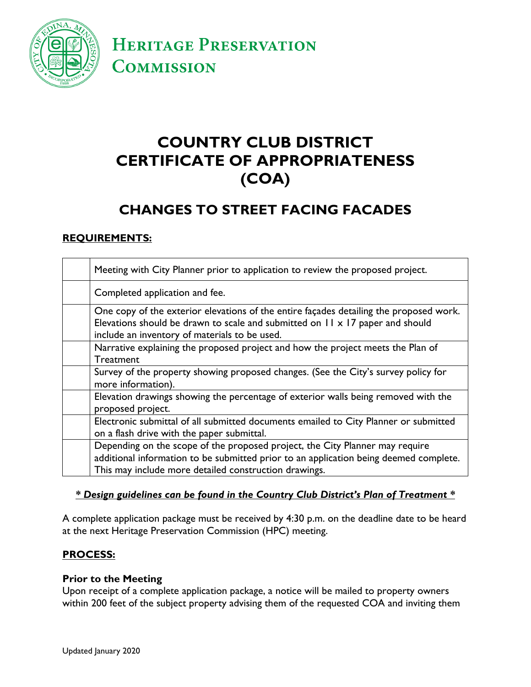

**HERITAGE PRESERVATION COMMISSION** 

# **COUNTRY CLUB DISTRICT CERTIFICATE OF APPROPRIATENESS (COA)**

## **CHANGES TO STREET FACING FACADES**

### **REQUIREMENTS:**

| Meeting with City Planner prior to application to review the proposed project.                                                                                                                                                 |
|--------------------------------------------------------------------------------------------------------------------------------------------------------------------------------------------------------------------------------|
| Completed application and fee.                                                                                                                                                                                                 |
| One copy of the exterior elevations of the entire façades detailing the proposed work.<br>Elevations should be drawn to scale and submitted on II x 17 paper and should<br>include an inventory of materials to be used.       |
| Narrative explaining the proposed project and how the project meets the Plan of<br><b>Treatment</b>                                                                                                                            |
| Survey of the property showing proposed changes. (See the City's survey policy for<br>more information).                                                                                                                       |
| Elevation drawings showing the percentage of exterior walls being removed with the<br>proposed project.                                                                                                                        |
| Electronic submittal of all submitted documents emailed to City Planner or submitted<br>on a flash drive with the paper submittal.                                                                                             |
| Depending on the scope of the proposed project, the City Planner may require<br>additional information to be submitted prior to an application being deemed complete.<br>This may include more detailed construction drawings. |

#### *\* Design guidelines can be found in the Country Club District's Plan of Treatment \**

A complete application package must be received by 4:30 p.m. on the deadline date to be heard at the next Heritage Preservation Commission (HPC) meeting.

#### **PROCESS:**

#### **Prior to the Meeting**

Upon receipt of a complete application package, a notice will be mailed to property owners within 200 feet of the subject property advising them of the requested COA and inviting them